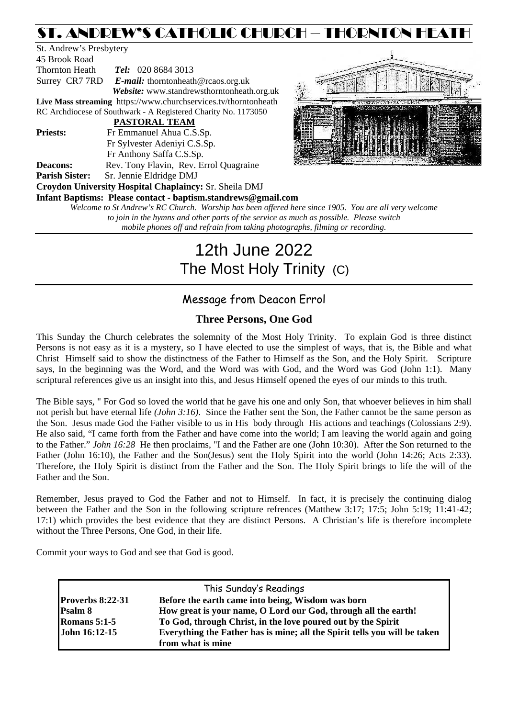# ST. ANDREW'S CATHOLIC CHURCH – THORNTON HEATH

St. Andrew's Presbytery 45 Brook Road Thornton Heath *Tel:* 020 8684 3013 Surrey CR7 7RD *E-mail:* [thorntonheath@rcaos.org.uk](mailto:thorntonheath@rcaos.org.uk) *Website:* www.standrewsthorntonheath.org.uk **Live Mass streaming** <https://www.churchservices.tv/thorntonheath> RC Archdiocese of Southwark - A Registered Charity No. 1173050  **PASTORAL TEAM Priests:** Fr Emmanuel Ahua C.S.Sp. Fr Sylvester Adeniyi C.S.Sp. Fr Anthony Saffa C.S.Sp. **Deacons:** Rev. Tony Flavin, Rev. Errol Quagraine **Parish Sister:** Sr. Jennie Eldridge DMJ **Croydon University Hospital Chaplaincy:** Sr. Sheila DMJ **Infant Baptisms: Please contact - baptism.standrews@gmail.com**



*Welcome to St Andrew's RC Church. Worship has been offered here since 1905. You are all very welcome to join in the hymns and other parts of the service as much as possible. Please switch mobile phones off and refrain from taking photographs, filming or recording.*

# 12th June 2022 The Most Holy Trinity (C)

## Message from Deacon Errol

### **Three Persons, One God**

This Sunday the Church celebrates the solemnity of the Most Holy Trinity. To explain God is three distinct Persons is not easy as it is a mystery, so I have elected to use the simplest of ways, that is, the Bible and what Christ Himself said to show the distinctness of the Father to Himself as the Son, and the Holy Spirit. Scripture says, In the beginning was the Word, and the Word was with God, and the Word was God (John 1:1). Many scriptural references give us an insight into this, and Jesus Himself opened the eyes of our minds to this truth.

The Bible says, " For God so loved the world that he gave his one and only Son, that whoever believes in him shall not perish but have eternal life *(John 3:16)*. Since the Father sent the Son, the Father cannot be the same person as the Son. Jesus made God the Father visible to us in His body through His actions and teachings (Colossians 2:9). He also said, "I came forth from the Father and have come into the world; I am leaving the world again and going to the Father." *John 16:28* He then proclaims, "I and the Father are one (John 10:30). After the Son returned to the Father (John 16:10), the Father and the Son(Jesus) sent the Holy Spirit into the world (John 14:26; Acts 2:33). Therefore, the Holy Spirit is distinct from the Father and the Son. The Holy Spirit brings to life the will of the Father and the Son.

Remember, Jesus prayed to God the Father and not to Himself. In fact, it is precisely the continuing dialog between the Father and the Son in the following scripture refrences (Matthew 3:17; 17:5; John 5:19; 11:41-42; 17:1) which provides the best evidence that they are distinct Persons. A Christian's life is therefore incomplete without the Three Persons, One God, in their life.

Commit your ways to God and see that God is good.

|                         | This Sunday's Readings                                                    |  |  |
|-------------------------|---------------------------------------------------------------------------|--|--|
| <b>Proverbs 8:22-31</b> | Before the earth came into being, Wisdom was born                         |  |  |
| <b>Psalm 8</b>          | How great is your name, O Lord our God, through all the earth!            |  |  |
| Romans $5:1-5$          | To God, through Christ, in the love poured out by the Spirit              |  |  |
| John 16:12-15           | Everything the Father has is mine; all the Spirit tells you will be taken |  |  |
|                         | from what is mine                                                         |  |  |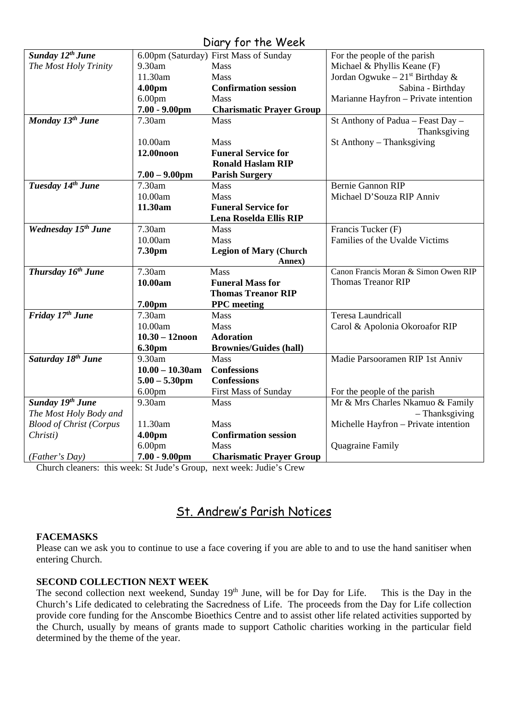## Diary for the Week

|                                 |                       | UNIY JUI IIIU IVUUN                    |                                      |
|---------------------------------|-----------------------|----------------------------------------|--------------------------------------|
| Sunday 12th June                |                       | 6.00pm (Saturday) First Mass of Sunday | For the people of the parish         |
| The Most Holy Trinity           | 9.30am                | Mass                                   | Michael & Phyllis Keane (F)          |
|                                 | 11.30am               | Mass                                   | Jordan Ogwuke – $21^{st}$ Birthday & |
|                                 | 4.00pm                | <b>Confirmation session</b>            | Sabina - Birthday                    |
|                                 | 6.00 <sub>pm</sub>    | Mass                                   | Marianne Hayfron - Private intention |
|                                 | $7.00 - 9.00$ pm      | <b>Charismatic Prayer Group</b>        |                                      |
| Monday 13 <sup>th</sup> June    | 7.30am                | Mass                                   | St Anthony of Padua - Feast Day -    |
|                                 |                       |                                        | Thanksgiving                         |
|                                 | 10.00am               | <b>Mass</b>                            | St Anthony - Thanksgiving            |
|                                 | 12.00 <sub>noon</sub> | <b>Funeral Service for</b>             |                                      |
|                                 |                       | <b>Ronald Haslam RIP</b>               |                                      |
|                                 | $7.00 - 9.00$ pm      | <b>Parish Surgery</b>                  |                                      |
| Tuesday 14th June               | 7.30am                | Mass                                   | <b>Bernie Gannon RIP</b>             |
|                                 | 10.00am               | Mass                                   | Michael D'Souza RIP Anniv            |
|                                 | 11.30am               | <b>Funeral Service for</b>             |                                      |
|                                 |                       | Lena Roselda Ellis RIP                 |                                      |
| Wednesday 15 <sup>th</sup> June | 7.30am                | Mass                                   | Francis Tucker (F)                   |
|                                 | 10.00am               | Mass                                   | Families of the Uvalde Victims       |
|                                 | 7.30pm                | <b>Legion of Mary (Church</b>          |                                      |
|                                 |                       | Annex)                                 |                                      |
| Thursday 16th June              | 7.30am                | <b>Mass</b>                            | Canon Francis Moran & Simon Owen RIP |
|                                 | 10.00am               | <b>Funeral Mass for</b>                | <b>Thomas Treanor RIP</b>            |
|                                 |                       | <b>Thomas Treanor RIP</b>              |                                      |
|                                 | 7.00pm                | <b>PPC</b> meeting                     |                                      |
| Friday 17 <sup>th</sup> June    | 7.30am                | <b>Mass</b>                            | <b>Teresa Laundricall</b>            |
|                                 | 10.00am               | Mass                                   | Carol & Apolonia Okoroafor RIP       |
|                                 | $10.30 - 12$ noon     | <b>Adoration</b>                       |                                      |
|                                 | 6.30pm                | <b>Brownies/Guides (hall)</b>          |                                      |
| Saturday 18 <sup>th</sup> June  | 9.30am                | Mass                                   | Madie Parsooramen RIP 1st Anniv      |
|                                 | $10.00 - 10.30$ am    | <b>Confessions</b>                     |                                      |
|                                 | $5.00 - 5.30$ pm      | <b>Confessions</b>                     |                                      |
|                                 | 6.00 <sub>pm</sub>    | <b>First Mass of Sunday</b>            | For the people of the parish         |
| Sunday 19 <sup>th</sup> June    | 9.30am                | Mass                                   | Mr & Mrs Charles Nkamuo & Family     |
| The Most Holy Body and          |                       |                                        | - Thanksgiving                       |
| <b>Blood of Christ (Corpus</b>  | 11.30am               | Mass                                   | Michelle Hayfron - Private intention |
| Christi)                        | 4.00pm                | <b>Confirmation session</b>            |                                      |
|                                 | 6.00 <sub>pm</sub>    | Mass                                   | Quagraine Family                     |
| (Father's Day)                  | $7.00 - 9.00$ pm      | <b>Charismatic Prayer Group</b>        |                                      |

Church cleaners: this week: St Jude's Group, next week: Judie's Crew

# St. Andrew's Parish Notices

#### **FACEMASKS**

Please can we ask you to continue to use a face covering if you are able to and to use the hand sanitiser when entering Church.

#### **SECOND COLLECTION NEXT WEEK**

The second collection next weekend, Sunday 19<sup>th</sup> June, will be for Day for Life. This is the Day in the Church's Life dedicated to celebrating the Sacredness of Life. The proceeds from the Day for Life collection provide core funding for the Anscombe Bioethics Centre and to assist other life related activities supported by the Church, usually by means of grants made to support Catholic charities working in the particular field determined by the theme of the year.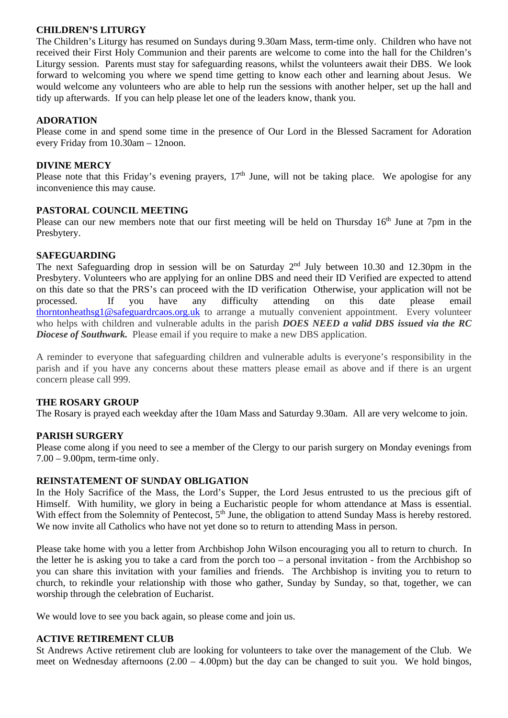#### **CHILDREN'S LITURGY**

The Children's Liturgy has resumed on Sundays during 9.30am Mass, term-time only. Children who have not received their First Holy Communion and their parents are welcome to come into the hall for the Children's Liturgy session. Parents must stay for safeguarding reasons, whilst the volunteers await their DBS. We look forward to welcoming you where we spend time getting to know each other and learning about Jesus. We would welcome any volunteers who are able to help run the sessions with another helper, set up the hall and tidy up afterwards. If you can help please let one of the leaders know, thank you.

#### **ADORATION**

Please come in and spend some time in the presence of Our Lord in the Blessed Sacrament for Adoration every Friday from 10.30am – 12noon.

#### **DIVINE MERCY**

Please note that this Friday's evening prayers,  $17<sup>th</sup>$  June, will not be taking place. We apologise for any inconvenience this may cause.

#### **PASTORAL COUNCIL MEETING**

Please can our new members note that our first meeting will be held on Thursday 16<sup>th</sup> June at 7pm in the Presbytery.

#### **SAFEGUARDING**

The next Safeguarding drop in session will be on Saturday 2<sup>nd</sup> July between 10.30 and 12.30pm in the Presbytery. Volunteers who are applying for an online DBS and need their ID Verified are expected to attend on this date so that the PRS's can proceed with the ID verification Otherwise, your application will not be processed. If you have any difficulty attending on this date please email [thorntonheathsg1@safeguardrcaos.org.uk](mailto:thorntonheathsg1@safeguardrcaos.org.uk) to arrange a mutually convenient appointment. Every volunteer who helps with children and vulnerable adults in the parish *DOES NEED a valid DBS issued via the RC Diocese of Southwark.* Please email if you require to make a new DBS application.

A reminder to everyone that safeguarding children and vulnerable adults is everyone's responsibility in the parish and if you have any concerns about these matters please email as above and if there is an urgent concern please call 999.

#### **THE ROSARY GROUP**

The Rosary is prayed each weekday after the 10am Mass and Saturday 9.30am. All are very welcome to join.

#### **PARISH SURGERY**

Please come along if you need to see a member of the Clergy to our parish surgery on Monday evenings from 7.00 – 9.00pm, term-time only.

#### **REINSTATEMENT OF SUNDAY OBLIGATION**

In the Holy Sacrifice of the Mass, the Lord's Supper, the Lord Jesus entrusted to us the precious gift of Himself. With humility, we glory in being a Eucharistic people for whom attendance at Mass is essential. With effect from the Solemnity of Pentecost, 5<sup>th</sup> June, the obligation to attend Sunday Mass is hereby restored. We now invite all Catholics who have not yet done so to return to attending Mass in person.

Please take home with you a letter from Archbishop John Wilson encouraging you all to return to church. In the letter he is asking you to take a card from the porch too – a personal invitation - from the Archbishop so you can share this invitation with your families and friends. The Archbishop is inviting you to return to church, to rekindle your relationship with those who gather, Sunday by Sunday, so that, together, we can worship through the celebration of Eucharist.

We would love to see you back again, so please come and join us.

#### **ACTIVE RETIREMENT CLUB**

St Andrews Active retirement club are looking for volunteers to take over the management of the Club. We meet on Wednesday afternoons  $(2.00 - 4.00 \text{pm})$  but the day can be changed to suit you. We hold bingos,